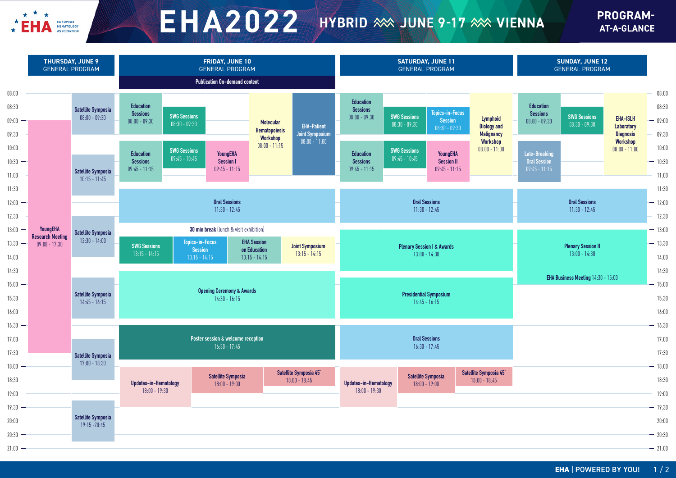

## $E H A 2022$  HYBRID  $\gg$  JUNE 9-17  $\gg$  VIENNA

**PROGRAM-AT-A-GLANCE**